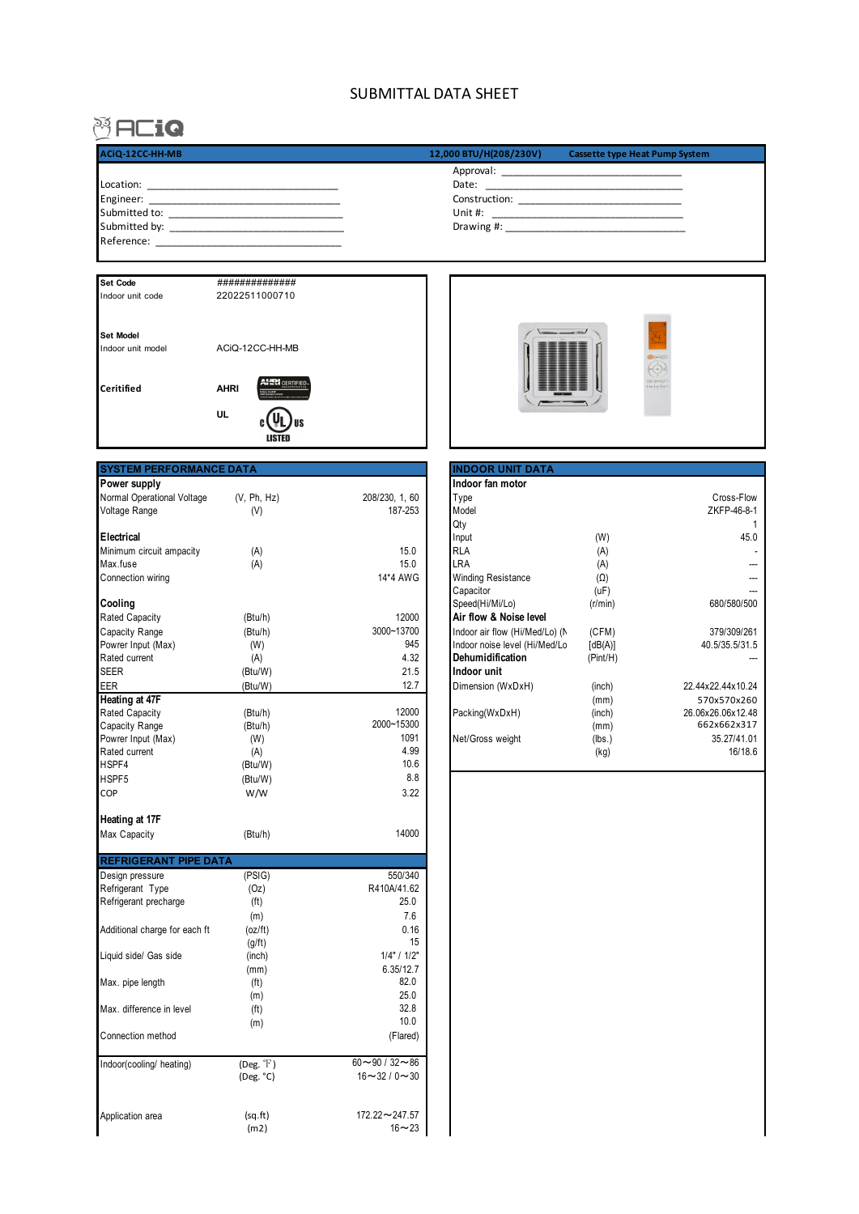## SUBMITTAL DATA SHEET

## **MACio**

I

| ACiQ-12CC-HH-MB                                                                                                                        | 12,000 BTU/H(208/230V)<br><b>Cassette type Heat Pump System</b>                                                                                                                                                                                                                                                                                                                |
|----------------------------------------------------------------------------------------------------------------------------------------|--------------------------------------------------------------------------------------------------------------------------------------------------------------------------------------------------------------------------------------------------------------------------------------------------------------------------------------------------------------------------------|
|                                                                                                                                        |                                                                                                                                                                                                                                                                                                                                                                                |
| Location:                                                                                                                              | Date:                                                                                                                                                                                                                                                                                                                                                                          |
| Engineer:<br>the control of the control of the control of the control of the control of the control of                                 | $Construction: \begin{tabular}{c} \hline \rule[1mm]{1mm}{1.2mm} \rule[1mm]{1.2mm}{2.2mm} \rule[1mm]{1.2mm}{2.2mm} \rule[1mm]{1.2mm}{2.2mm} \rule[1mm]{1.2mm}{2.2mm} \rule[1mm]{1.2mm}{2.2mm} \rule[1mm]{1.2mm}{2.2mm} \rule[1mm]{1.2mm}{2.2mm} \rule[1mm]{1.2mm}{2.2mm} \rule[1mm]{1.2mm}{2.2mm} \rule[1mm]{1.2mm}{2.2mm} \rule[1mm]{1.2mm}{2.2mm} \rule[1mm]{1.2mm}{2.2mm} \$ |
| Submitted to:<br><u> 1989 - Johann John Stein, markin fan it ferstjer fan it ferstjer fan it ferstjer fan it ferstjer fan it ferst</u> | Unit #:<br><u> 1980 - Jan James James, margolar fizikar (h. 1980).</u>                                                                                                                                                                                                                                                                                                         |
| Submitted by:                                                                                                                          | Drawing #:                                                                                                                                                                                                                                                                                                                                                                     |
| Reference:                                                                                                                             |                                                                                                                                                                                                                                                                                                                                                                                |

| <b>Set Code</b>                       | ##############          |  |
|---------------------------------------|-------------------------|--|
| Indoor unit code                      | 22022511000710          |  |
| <b>Set Model</b><br>Indoor unit model | ACiO-12CC-HH-MB         |  |
| Ceritified                            | <b>AHRI</b><br>UL<br>1S |  |
|                                       |                         |  |

| <b>CON</b><br><b><i><u>PARK AND </u></i></b> | DL<br>$0 \in \mathbb{R}$<br>$\sim$<br>ser (or<br>$\frac{1}{\left(\frac{1}{2}\right)\left(\frac{1}{2}\right)\left(\frac{1}{2}\right)}\left(\frac{1}{2}\right)\left(\frac{1}{2}\right)\left(\frac{1}{2}\right)$ |  |
|----------------------------------------------|---------------------------------------------------------------------------------------------------------------------------------------------------------------------------------------------------------------|--|

| <b>SYSTEM PERFORMANCE DATA</b> |                   |                     | <b>INDOOR UNIT DATA</b>        |            |                   |
|--------------------------------|-------------------|---------------------|--------------------------------|------------|-------------------|
| Power supply                   |                   |                     | Indoor fan motor               |            |                   |
| Normal Operational Voltage     | (V, Ph, Hz)       | 208/230, 1, 60      | Type                           |            | Cross-Flow        |
| Voltage Range                  | (V)               | 187-253             | Model                          |            | ZKFP-46-8-1       |
|                                |                   |                     | Qty                            |            |                   |
| Electrical                     |                   |                     | Input                          | (W)        | 45.0              |
| Minimum circuit ampacity       | (A)               | 15.0                | <b>RLA</b>                     | (A)        |                   |
| Max.fuse                       | (A)               | 15.0                | LRA                            | (A)        | --                |
| Connection wiring              |                   | 14*4 AWG            | <b>Winding Resistance</b>      | $(\Omega)$ |                   |
|                                |                   |                     | Capacitor                      | (uF)       |                   |
| Cooling                        |                   |                     | Speed(Hi/Mi/Lo)                | (r/min)    | 680/580/500       |
| <b>Rated Capacity</b>          | (Btu/h)           | 12000               | Air flow & Noise level         |            |                   |
| Capacity Range                 | (Btu/h)           | 3000~13700          | Indoor air flow (Hi/Med/Lo) (N | (CFM)      | 379/309/261       |
| Powrer Input (Max)             | (W)               | 945                 | Indoor noise level (Hi/Med/Lo  | [dB(A)]    | 40.5/35.5/31.5    |
| Rated current                  | (A)               | 4.32                | Dehumidification               | (Pint/H)   |                   |
| <b>SEER</b>                    | (Btu/W)           | 21.5                | Indoor unit                    |            |                   |
| EER                            | (Btu/W)           | 12.7                | Dimension (WxDxH)              | (inch)     | 22.44x22.44x10.24 |
| <b>Heating at 47F</b>          |                   |                     |                                | (mm)       | 570x570x260       |
| Rated Capacity                 | (Btu/h)           | 12000               | Packing(WxDxH)                 | (inch)     | 26.06x26.06x12.48 |
| Capacity Range                 | (Btu/h)           | 2000~15300          |                                | (mm)       | 662x662x317       |
| Powrer Input (Max)             | (W)               | 1091                | Net/Gross weight               | (lbs.)     | 35.27/41.01       |
| Rated current                  | (A)               | 4.99                |                                | (kg)       | 16/18.6           |
| HSPF4                          | (Btu/W)           | 10.6                |                                |            |                   |
| HSPF5                          | (Btu/W)           | 8.8                 |                                |            |                   |
| COP                            | W/W               | 3.22                |                                |            |                   |
| Heating at 17F                 |                   |                     |                                |            |                   |
| Max Capacity                   | (Btu/h)           | 14000               |                                |            |                   |
| <b>REFRIGERANT PIPE DATA</b>   |                   |                     |                                |            |                   |
| Design pressure                | (PSIG)            | 550/340             |                                |            |                   |
| Refrigerant Type               | (Oz)              | R410A/41.62         |                                |            |                   |
| Refrigerant precharge          | (f <sup>t</sup> ) | 25.0                |                                |            |                   |
|                                | (m)               | 7.6                 |                                |            |                   |
| Additional charge for each ft  | (oz/ft)           | 0.16                |                                |            |                   |
|                                | (g/ft)            | 15                  |                                |            |                   |
| Liquid side/ Gas side          | (inch)            | 1/4" / 1/2"         |                                |            |                   |
|                                | (mm)              | 6.35/12.7           |                                |            |                   |
| Max. pipe length               | (f <sup>t</sup> ) | 82.0                |                                |            |                   |
|                                | (m)               | 25.0                |                                |            |                   |
| Max. difference in level       | (f <sup>t</sup> ) | 32.8                |                                |            |                   |
|                                | (m)               | 10.0                |                                |            |                   |
| Connection method              |                   | (Flared)            |                                |            |                   |
| Indoor(cooling/ heating)       | $(Deg. f)$        | $60 - 90 / 32 - 86$ |                                |            |                   |
|                                | (Deg. °C)         | $16 - 32 / 0 - 30$  |                                |            |                   |
| Application area               | (sq.fr)           | 172.22~247.57       |                                |            |                   |
|                                | (m2)              | $16 - 23$           |                                |            |                   |
|                                |                   |                     |                                |            |                   |

| <b>INDOOR UNIT DATA</b>        |            |                   |
|--------------------------------|------------|-------------------|
| Indoor fan motor               |            |                   |
| Type                           |            | Cross-Flow        |
| Model                          |            | ZKFP-46-8-1       |
| Qty                            |            |                   |
| Input                          | (W)        | 45.0              |
| <b>RLA</b>                     | (A)        |                   |
| LRA                            | (A)        |                   |
| <b>Winding Resistance</b>      | $(\Omega)$ |                   |
| Capacitor                      | (uF)       |                   |
| Speed(Hi/Mi/Lo)                | (r/min)    | 680/580/500       |
| Air flow & Noise level         |            |                   |
| Indoor air flow (Hi/Med/Lo) (N | (CFM)      | 379/309/261       |
| Indoor noise level (Hi/Med/Lo  | [dB(A)]    | 40.5/35.5/31.5    |
| Dehumidification               | (Pint/H)   |                   |
| Indoor unit                    |            |                   |
| Dimension (WxDxH)              | (inch)     | 22.44x22.44x10.24 |
|                                | (mm)       | 570x570x260       |
| Packing(WxDxH)                 | (inch)     | 26.06x26.06x12.48 |
|                                | (mm)       | 662x662x317       |
| Net/Gross weight               | (lbs.)     | 35.27/41.01       |
|                                | (kg)       | 16/18.6           |
|                                |            |                   |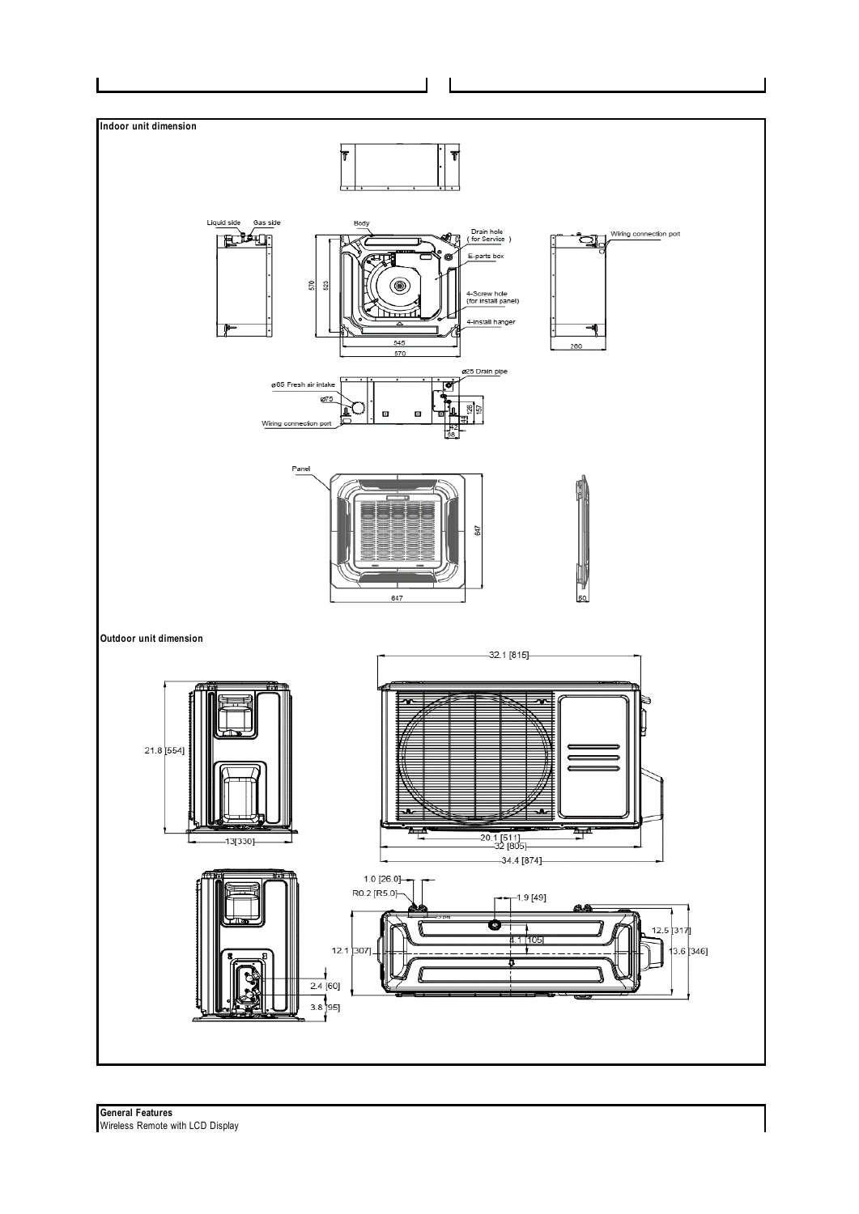